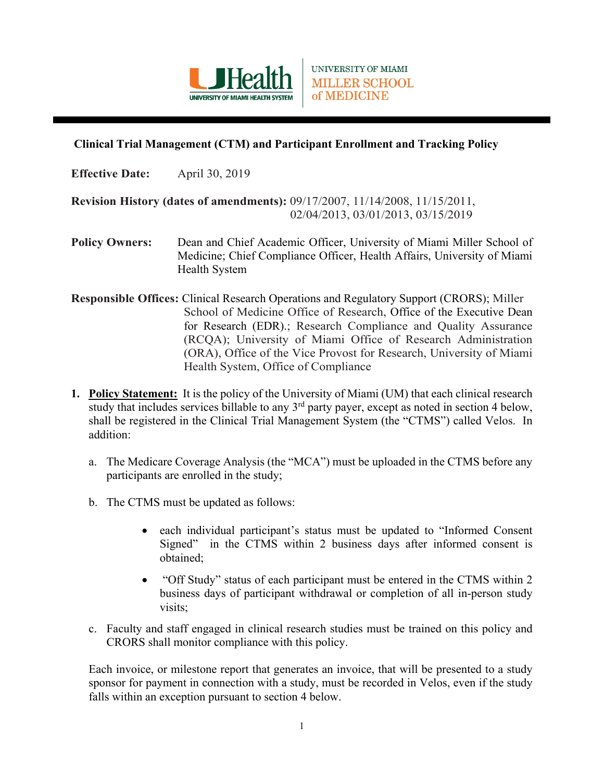

UNIVERSITY OF MIAMI **MILLER SCHOOL** of MEDICINE

## **Clinical Trial Management (CTM) and Participant Enrollment and Tracking Policy**

**Effective Date:** April 30, 2019

**Revision History (dates of amendments):** 09/17/2007, 11/14/2008, 11/15/2011, 02/04/2013, 03/01/2013, 03/15/2019

- **Policy Owners:** Dean and Chief Academic Officer, University of Miami Miller School of Medicine; Chief Compliance Officer, Health Affairs, University of Miami Health System
- **Responsible Offices:** Clinical Research Operations and Regulatory Support (CRORS); Miller School of Medicine Office of Research, Office of the Executive Dean for Research (EDR).; Research Compliance and Quality Assurance (RCQA); University of Miami Office of Research Administration (ORA), Office of the Vice Provost for Research, University of Miami Health System, Office of Compliance
- **1. Policy Statement:** It is the policy of the University of Miami (UM) that each clinical research study that includes services billable to any  $3<sup>rd</sup>$  party payer, except as noted in section 4 below, shall be registered in the Clinical Trial Management System (the "CTMS") called Velos. In addition:
	- a. The Medicare Coverage Analysis (the "MCA") must be uploaded in the CTMS before any participants are enrolled in the study;
	- b. The CTMS must be updated as follows:
		- each individual participant's status must be updated to "Informed Consent Signed" in the CTMS within 2 business days after informed consent is obtained;
		- "Off Study" status of each participant must be entered in the CTMS within 2 business days of participant withdrawal or completion of all in-person study visits;
	- c. Faculty and staff engaged in clinical research studies must be trained on this policy and CRORS shall monitor compliance with this policy.

Each invoice, or milestone report that generates an invoice, that will be presented to a study sponsor for payment in connection with a study, must be recorded in Velos, even if the study falls within an exception pursuant to section 4 below.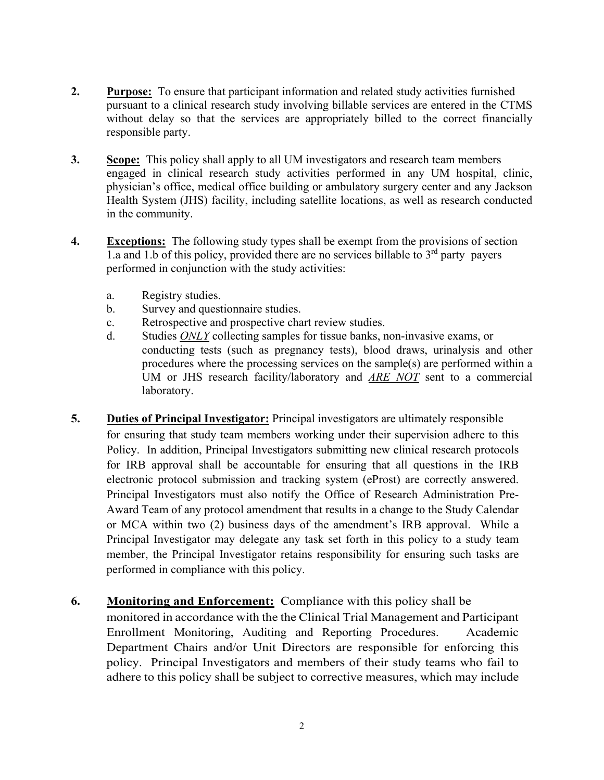- **2. Purpose:** To ensure that participant information and related study activities furnished pursuant to a clinical research study involving billable services are entered in the CTMS without delay so that the services are appropriately billed to the correct financially responsible party.
- **3. Scope:** This policy shall apply to all UM investigators and research team members engaged in clinical research study activities performed in any UM hospital, clinic, physician's office, medical office building or ambulatory surgery center and any Jackson Health System (JHS) facility, including satellite locations, as well as research conducted in the community.
- **4. Exceptions:** The following study types shall be exempt from the provisions of section 1.a and 1.b of this policy, provided there are no services billable to  $3<sup>rd</sup>$  party payers performed in conjunction with the study activities:
	- a. Registry studies.
	- b. Survey and questionnaire studies.
	- c. Retrospective and prospective chart review studies.
	- d. Studies *ONLY* collecting samples for tissue banks, non-invasive exams, or conducting tests (such as pregnancy tests), blood draws, urinalysis and other procedures where the processing services on the sample(s) are performed within a UM or JHS research facility/laboratory and *ARE NOT* sent to a commercial laboratory.
- **5. Duties of Principal Investigator:** Principal investigators are ultimately responsible for ensuring that study team members working under their supervision adhere to this Policy. In addition, Principal Investigators submitting new clinical research protocols for IRB approval shall be accountable for ensuring that all questions in the IRB electronic protocol submission and tracking system (eProst) are correctly answered. Principal Investigators must also notify the Office of Research Administration Pre-Award Team of any protocol amendment that results in a change to the Study Calendar or MCA within two (2) business days of the amendment's IRB approval. While a Principal Investigator may delegate any task set forth in this policy to a study team member, the Principal Investigator retains responsibility for ensuring such tasks are performed in compliance with this policy.

## **6. Monitoring and Enforcement:** Compliance with this policy shall be

monitored in accordance with the the Clinical Trial Management and Participant Enrollment Monitoring, Auditing and Reporting Procedures. Academic Department Chairs and/or Unit Directors are responsible for enforcing this policy. Principal Investigators and members of their study teams who fail to adhere to this policy shall be subject to corrective measures, which may include